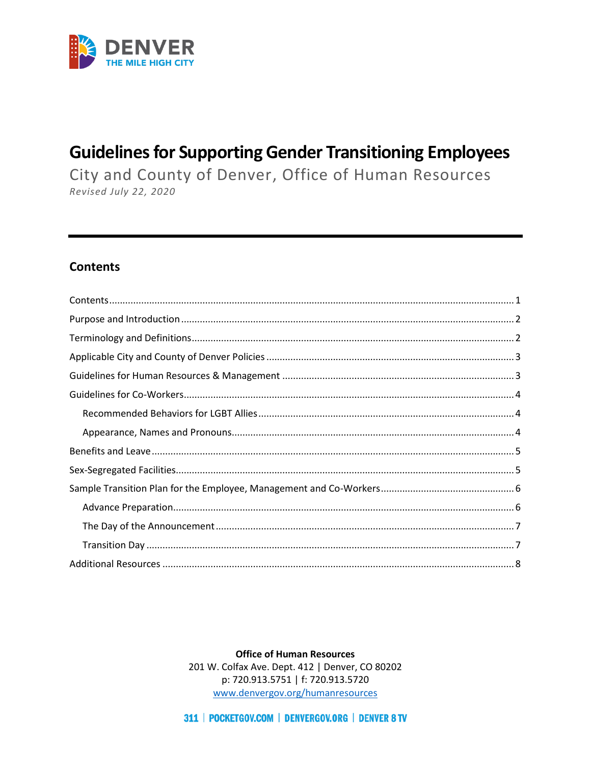

# **Guidelines for Supporting Gender Transitioning Employees**

City and County of Denver, Office of Human Resources Revised July 22, 2020

### <span id="page-0-0"></span>**Contents**

**Office of Human Resources** 201 W. Colfax Ave. Dept. 412 | Denver, CO 80202 p: 720.913.5751 | f: 720.913.5720 www.denvergov.org/humanresources

311 | POCKETGOV.COM | DENVERGOV.ORG | DENVER 8 TV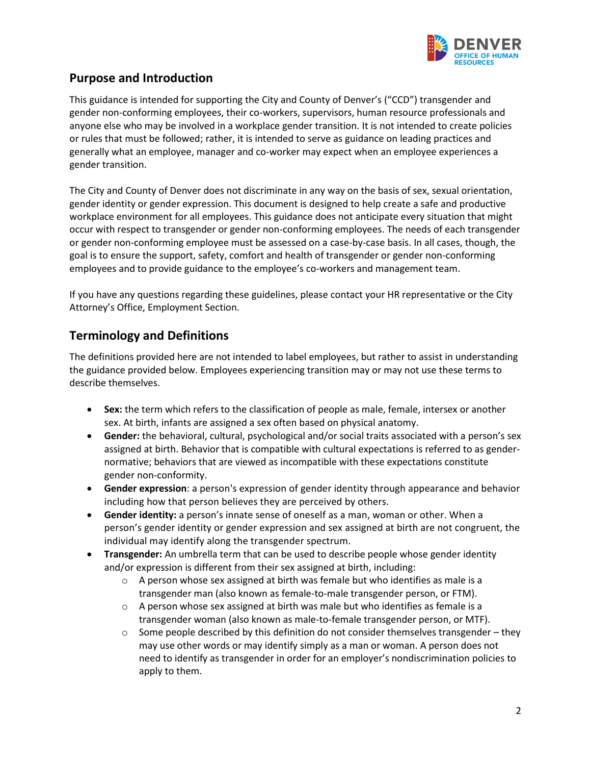

## <span id="page-1-0"></span>**Purpose and Introduction**

This guidance is intended for supporting the City and County of Denver's ("CCD") transgender and gender non-conforming employees, their co-workers, supervisors, human resource professionals and anyone else who may be involved in a workplace gender transition. It is not intended to create policies or rules that must be followed; rather, it is intended to serve as guidance on leading practices and generally what an employee, manager and co-worker may expect when an employee experiences a gender transition.

The City and County of Denver does not discriminate in any way on the basis of sex, sexual orientation, gender identity or gender expression. This document is designed to help create a safe and productive workplace environment for all employees. This guidance does not anticipate every situation that might occur with respect to transgender or gender non-conforming employees. The needs of each transgender or gender non-conforming employee must be assessed on a case-by-case basis. In all cases, though, the goal is to ensure the support, safety, comfort and health of transgender or gender non-conforming employees and to provide guidance to the employee's co-workers and management team.

If you have any questions regarding these guidelines, please contact your HR representative or the City Attorney's Office, Employment Section.

### <span id="page-1-1"></span>**Terminology and Definitions**

The definitions provided here are not intended to label employees, but rather to assist in understanding the guidance provided below. Employees experiencing transition may or may not use these terms to describe themselves.

- **Sex:** the term which refers to the classification of people as male, female, intersex or another sex. At birth, infants are assigned a sex often based on physical anatomy.
- **Gender:** the behavioral, cultural, psychological and/or social traits associated with a person's sex assigned at birth. Behavior that is compatible with cultural expectations is referred to as gender‐ normative; behaviors that are viewed as incompatible with these expectations constitute gender non‐conformity.
- **Gender expression**: a person's expression of gender identity through appearance and behavior including how that person believes they are perceived by others.
- **Gender identity:** a person's innate sense of oneself as a man, woman or other. When a person's gender identity or gender expression and sex assigned at birth are not congruent, the individual may identify along the transgender spectrum.
- **Transgender:** An umbrella term that can be used to describe people whose gender identity and/or expression is different from their sex assigned at birth, including:
	- $\circ$  A person whose sex assigned at birth was female but who identifies as male is a transgender man (also known as female-to-male transgender person, or FTM).
	- $\circ$  A person whose sex assigned at birth was male but who identifies as female is a transgender woman (also known as male-to-female transgender person, or MTF).
	- $\circ$  Some people described by this definition do not consider themselves transgender they may use other words or may identify simply as a man or woman. A person does not need to identify as transgender in order for an employer's nondiscrimination policies to apply to them.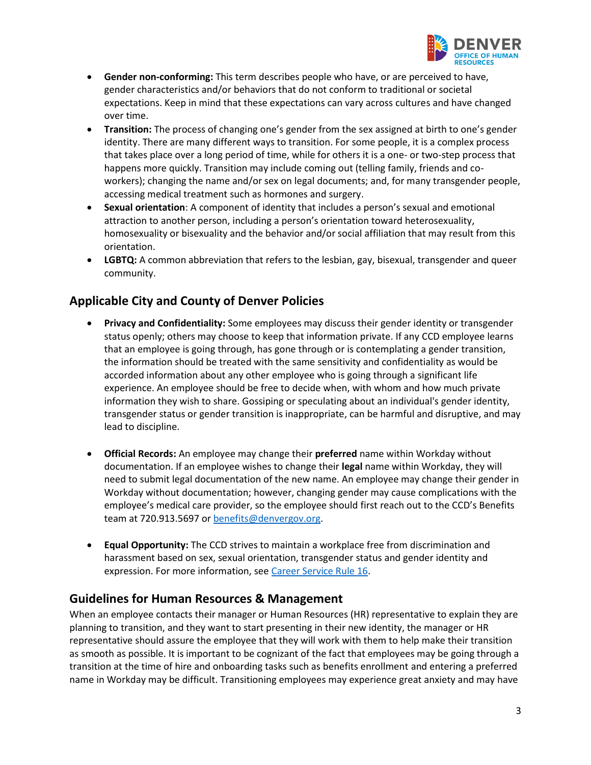

- **Gender non-conforming:** This term describes people who have, or are perceived to have, gender characteristics and/or behaviors that do not conform to traditional or societal expectations. Keep in mind that these expectations can vary across cultures and have changed over time.
- **Transition:** The process of changing one's gender from the sex assigned at birth to one's gender identity. There are many different ways to transition. For some people, it is a complex process that takes place over a long period of time, while for others it is a one- or two-step process that happens more quickly. Transition may include coming out (telling family, friends and coworkers); changing the name and/or sex on legal documents; and, for many transgender people, accessing medical treatment such as hormones and surgery.
- **Sexual orientation**: A component of identity that includes a person's sexual and emotional attraction to another person, including a person's orientation toward heterosexuality, homosexuality or bisexuality and the behavior and/or social affiliation that may result from this orientation.
- **LGBTQ:** A common abbreviation that refers to the lesbian, gay, bisexual, transgender and queer community.

## <span id="page-2-0"></span>**Applicable City and County of Denver Policies**

- **Privacy and Confidentiality:** Some employees may discuss their gender identity or transgender status openly; others may choose to keep that information private. If any CCD employee learns that an employee is going through, has gone through or is contemplating a gender transition, the information should be treated with the same sensitivity and confidentiality as would be accorded information about any other employee who is going through a significant life experience. An employee should be free to decide when, with whom and how much private information they wish to share. Gossiping or speculating about an individual's gender identity, transgender status or gender transition is inappropriate, can be harmful and disruptive, and may lead to discipline.
- **Official Records:** An employee may change their **preferred** name within Workday without documentation. If an employee wishes to change their **legal** name within Workday, they will need to submit legal documentation of the new name. An employee may change their gender in Workday without documentation; however, changing gender may cause complications with the employee's medical care provider, so the employee should first reach out to the CCD's Benefits team at 720.913.5697 or [benefits@denvergov.org.](mailto:benefits@denvergov.org)
- **Equal Opportunity:** The CCD strives to maintain a workplace free from discrimination and harassment based on sex, sexual orientation, transgender status and gender identity and expression. For more information, see [Career Service Rule 16.](https://www.denvergov.org/content/dam/denvergov/Portals/672/documents/CSARuleRevisions/RULE16.pdf)

### <span id="page-2-1"></span>**Guidelines for Human Resources & Management**

When an employee contacts their manager or Human Resources (HR) representative to explain they are planning to transition, and they want to start presenting in their new identity, the manager or HR representative should assure the employee that they will work with them to help make their transition as smooth as possible. It is important to be cognizant of the fact that employees may be going through a transition at the time of hire and onboarding tasks such as benefits enrollment and entering a preferred name in Workday may be difficult. Transitioning employees may experience great anxiety and may have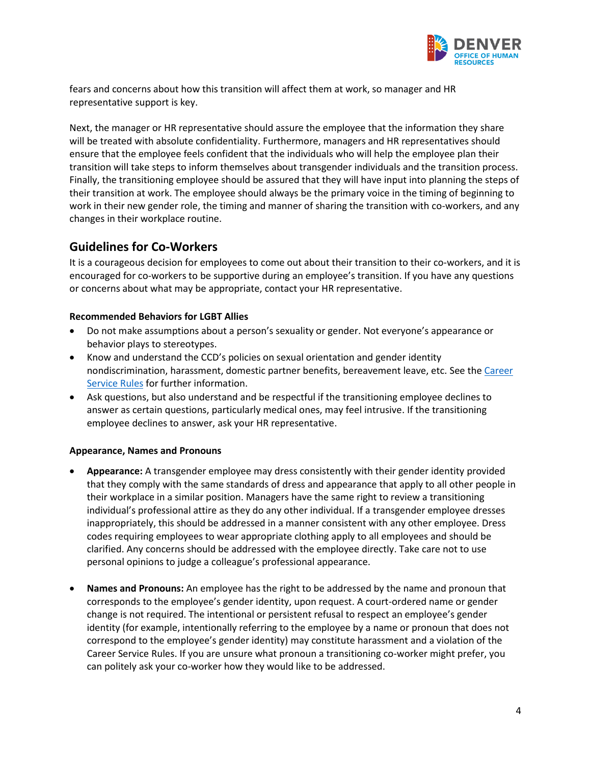

fears and concerns about how this transition will affect them at work, so manager and HR representative support is key.

Next, the manager or HR representative should assure the employee that the information they share will be treated with absolute confidentiality. Furthermore, managers and HR representatives should ensure that the employee feels confident that the individuals who will help the employee plan their transition will take steps to inform themselves about transgender individuals and the transition process. Finally, the transitioning employee should be assured that they will have input into planning the steps of their transition at work. The employee should always be the primary voice in the timing of beginning to work in their new gender role, the timing and manner of sharing the transition with co-workers, and any changes in their workplace routine.

### <span id="page-3-0"></span>**Guidelines for Co-Workers**

It is a courageous decision for employees to come out about their transition to their co-workers, and it is encouraged for co-workers to be supportive during an employee's transition. If you have any questions or concerns about what may be appropriate, contact your HR representative.

### <span id="page-3-1"></span>**Recommended Behaviors for LGBT Allies**

- Do not make assumptions about a person's sexuality or gender. Not everyone's appearance or behavior plays to stereotypes.
- Know and understand the CCD's policies on sexual orientation and gender identity nondiscrimination, harassment, domestic partner benefits, bereavement leave, etc. See th[e Career](https://www.denvergov.org/content/denvergov/en/office-of-human-resources/employee-resources/rules-and-policies.html)  [Service Rules](https://www.denvergov.org/content/denvergov/en/office-of-human-resources/employee-resources/rules-and-policies.html) for further information.
- Ask questions, but also understand and be respectful if the transitioning employee declines to answer as certain questions, particularly medical ones, may feel intrusive. If the transitioning employee declines to answer, ask your HR representative.

#### <span id="page-3-2"></span>**Appearance, Names and Pronouns**

- **Appearance:** A transgender employee may dress consistently with their gender identity provided that they comply with the same standards of dress and appearance that apply to all other people in their workplace in a similar position. Managers have the same right to review a transitioning individual's professional attire as they do any other individual. If a transgender employee dresses inappropriately, this should be addressed in a manner consistent with any other employee. Dress codes requiring employees to wear appropriate clothing apply to all employees and should be clarified. Any concerns should be addressed with the employee directly. Take care not to use personal opinions to judge a colleague's professional appearance.
- **Names and Pronouns:** An employee has the right to be addressed by the name and pronoun that corresponds to the employee's gender identity, upon request. A court-ordered name or gender change is not required. The intentional or persistent refusal to respect an employee's gender identity (for example, intentionally referring to the employee by a name or pronoun that does not correspond to the employee's gender identity) may constitute harassment and a violation of the Career Service Rules. If you are unsure what pronoun a transitioning co-worker might prefer, you can politely ask your co-worker how they would like to be addressed.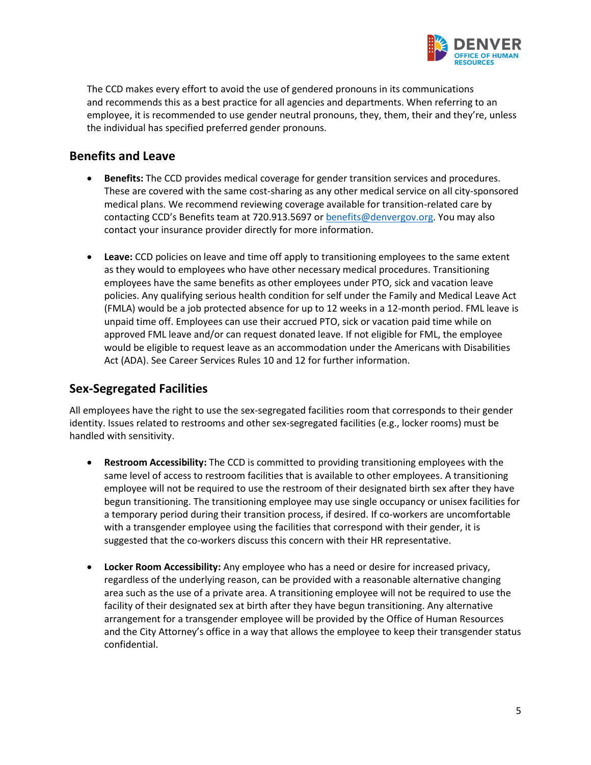

The CCD makes every effort to avoid the use of gendered pronouns in its communications and recommends this as a best practice for all agencies and departments. When referring to an employee, it is recommended to use gender neutral pronouns, they, them, their and they're, unless the individual has specified preferred gender pronouns.

### <span id="page-4-0"></span>**Benefits and Leave**

- **Benefits:** The CCD provides medical coverage for gender transition services and procedures. These are covered with the same cost-sharing as any other medical service on all city-sponsored medical plans. We recommend reviewing coverage available for transition-related care by contacting CCD's Benefits team at 720.913.5697 or **benefits@denvergov.org**. You may also contact your insurance provider directly for more information.
- **Leave:** CCD policies on leave and time off apply to transitioning employees to the same extent as they would to employees who have other necessary medical procedures. Transitioning employees have the same benefits as other employees under PTO, sick and vacation leave policies. Any qualifying serious health condition for self under the Family and Medical Leave Act (FMLA) would be a job protected absence for up to 12 weeks in a 12-month period. FML leave is unpaid time off. Employees can use their accrued PTO, sick or vacation paid time while on approved FML leave and/or can request donated leave. If not eligible for FML, the employee would be eligible to request leave as an accommodation under the Americans with Disabilities Act (ADA). See Career Services Rules 10 and 12 for further information.

### <span id="page-4-1"></span>**Sex-Segregated Facilities**

All employees have the right to use the sex-segregated facilities room that corresponds to their gender identity. Issues related to restrooms and other sex-segregated facilities (e.g., locker rooms) must be handled with sensitivity.

- **Restroom Accessibility:** The CCD is committed to providing transitioning employees with the same level of access to restroom facilities that is available to other employees. A transitioning employee will not be required to use the restroom of their designated birth sex after they have begun transitioning. The transitioning employee may use single occupancy or unisex facilities for a temporary period during their transition process, if desired. If co-workers are uncomfortable with a transgender employee using the facilities that correspond with their gender, it is suggested that the co-workers discuss this concern with their HR representative.
- **Locker Room Accessibility:** Any employee who has a need or desire for increased privacy, regardless of the underlying reason, can be provided with a reasonable alternative changing area such as the use of a private area. A transitioning employee will not be required to use the facility of their designated sex at birth after they have begun transitioning. Any alternative arrangement for a transgender employee will be provided by the Office of Human Resources and the City Attorney's office in a way that allows the employee to keep their transgender status confidential.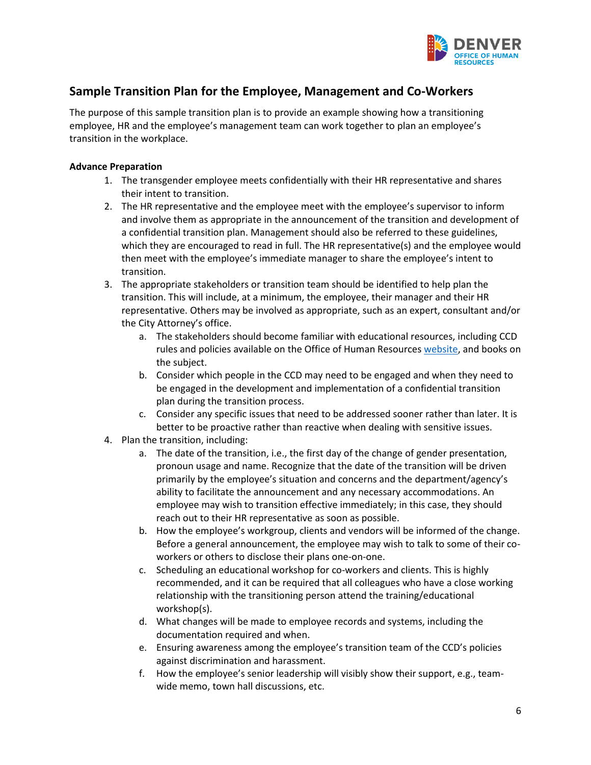

# <span id="page-5-0"></span>**Sample Transition Plan for the Employee, Management and Co-Workers**

The purpose of this sample transition plan is to provide an example showing how a transitioning employee, HR and the employee's management team can work together to plan an employee's transition in the workplace.

#### <span id="page-5-1"></span>**Advance Preparation**

- 1. The transgender employee meets confidentially with their HR representative and shares their intent to transition.
- 2. The HR representative and the employee meet with the employee's supervisor to inform and involve them as appropriate in the announcement of the transition and development of a confidential transition plan. Management should also be referred to these guidelines, which they are encouraged to read in full. The HR representative(s) and the employee would then meet with the employee's immediate manager to share the employee's intent to transition.
- 3. The appropriate stakeholders or transition team should be identified to help plan the transition. This will include, at a minimum, the employee, their manager and their HR representative. Others may be involved as appropriate, such as an expert, consultant and/or the City Attorney's office.
	- a. The stakeholders should become familiar with educational resources, including CCD rules and policies available on the Office of Human Resources [website,](https://www.denvergov.org/content/denvergov/en/office-of-human-resources.html) and books on the subject.
	- b. Consider which people in the CCD may need to be engaged and when they need to be engaged in the development and implementation of a confidential transition plan during the transition process.
	- c. Consider any specific issues that need to be addressed sooner rather than later. It is better to be proactive rather than reactive when dealing with sensitive issues.
- 4. Plan the transition, including:
	- a. The date of the transition, i.e., the first day of the change of gender presentation, pronoun usage and name. Recognize that the date of the transition will be driven primarily by the employee's situation and concerns and the department/agency's ability to facilitate the announcement and any necessary accommodations. An employee may wish to transition effective immediately; in this case, they should reach out to their HR representative as soon as possible.
	- b. How the employee's workgroup, clients and vendors will be informed of the change. Before a general announcement, the employee may wish to talk to some of their coworkers or others to disclose their plans one-on-one.
	- c. Scheduling an educational workshop for co-workers and clients. This is highly recommended, and it can be required that all colleagues who have a close working relationship with the transitioning person attend the training/educational workshop(s).
	- d. What changes will be made to employee records and systems, including the documentation required and when.
	- e. Ensuring awareness among the employee's transition team of the CCD's policies against discrimination and harassment.
	- f. How the employee's senior leadership will visibly show their support, e.g., teamwide memo, town hall discussions, etc.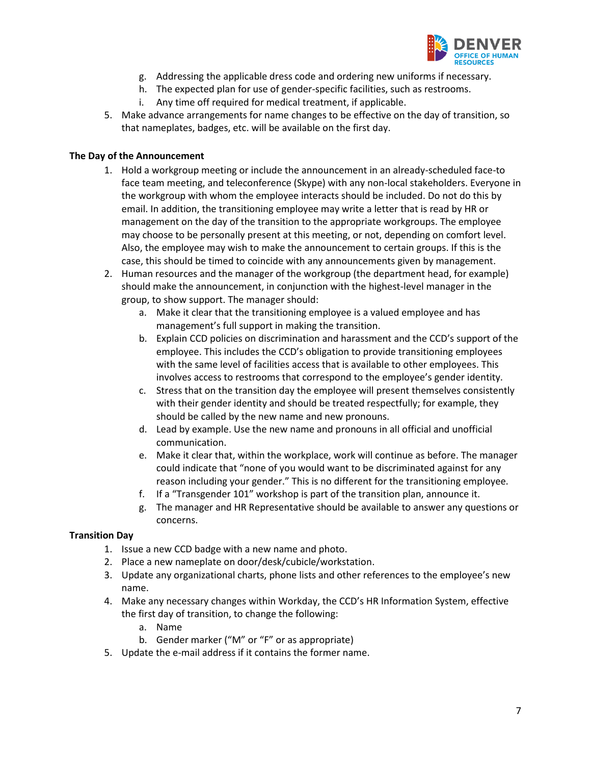

- g. Addressing the applicable dress code and ordering new uniforms if necessary.
- h. The expected plan for use of gender-specific facilities, such as restrooms.
- i. Any time off required for medical treatment, if applicable.
- 5. Make advance arrangements for name changes to be effective on the day of transition, so that nameplates, badges, etc. will be available on the first day.

#### <span id="page-6-0"></span>**The Day of the Announcement**

- 1. Hold a workgroup meeting or include the announcement in an already-scheduled face-to face team meeting, and teleconference (Skype) with any non-local stakeholders. Everyone in the workgroup with whom the employee interacts should be included. Do not do this by email. In addition, the transitioning employee may write a letter that is read by HR or management on the day of the transition to the appropriate workgroups. The employee may choose to be personally present at this meeting, or not, depending on comfort level. Also, the employee may wish to make the announcement to certain groups. If this is the case, this should be timed to coincide with any announcements given by management.
- 2. Human resources and the manager of the workgroup (the department head, for example) should make the announcement, in conjunction with the highest-level manager in the group, to show support. The manager should:
	- a. Make it clear that the transitioning employee is a valued employee and has management's full support in making the transition.
	- b. Explain CCD policies on discrimination and harassment and the CCD's support of the employee. This includes the CCD's obligation to provide transitioning employees with the same level of facilities access that is available to other employees. This involves access to restrooms that correspond to the employee's gender identity.
	- c. Stress that on the transition day the employee will present themselves consistently with their gender identity and should be treated respectfully; for example, they should be called by the new name and new pronouns.
	- d. Lead by example. Use the new name and pronouns in all official and unofficial communication.
	- e. Make it clear that, within the workplace, work will continue as before. The manager could indicate that "none of you would want to be discriminated against for any reason including your gender." This is no different for the transitioning employee.
	- f. If a "Transgender 101" workshop is part of the transition plan, announce it.
	- g. The manager and HR Representative should be available to answer any questions or concerns.

#### <span id="page-6-1"></span>**Transition Day**

- 1. Issue a new CCD badge with a new name and photo.
- 2. Place a new nameplate on door/desk/cubicle/workstation.
- 3. Update any organizational charts, phone lists and other references to the employee's new name.
- 4. Make any necessary changes within Workday, the CCD's HR Information System, effective the first day of transition, to change the following:
	- a. Name
	- b. Gender marker ("M" or "F" or as appropriate)
- 5. Update the e-mail address if it contains the former name.